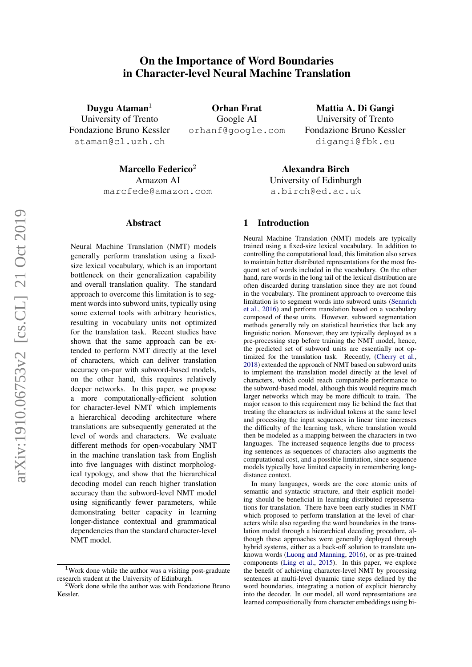# On the Importance of Word Boundaries in Character-level Neural Machine Translation

Duygu Ataman<sup>1</sup> University of Trento Fondazione Bruno Kessler ataman@cl.uzh.ch

Orhan Fırat Google AI orhanf@google.com

Mattia A. Di Gangi University of Trento Fondazione Bruno Kessler digangi@fbk.eu

Marcello Federico $2$ Amazon AI marcfede@amazon.com

#### Abstract

Neural Machine Translation (NMT) models generally perform translation using a fixedsize lexical vocabulary, which is an important bottleneck on their generalization capability and overall translation quality. The standard approach to overcome this limitation is to segment words into subword units, typically using some external tools with arbitrary heuristics, resulting in vocabulary units not optimized for the translation task. Recent studies have shown that the same approach can be extended to perform NMT directly at the level of characters, which can deliver translation accuracy on-par with subword-based models, on the other hand, this requires relatively deeper networks. In this paper, we propose a more computationally-efficient solution for character-level NMT which implements a hierarchical decoding architecture where translations are subsequently generated at the level of words and characters. We evaluate different methods for open-vocabulary NMT in the machine translation task from English into five languages with distinct morphological typology, and show that the hierarchical decoding model can reach higher translation accuracy than the subword-level NMT model using significantly fewer parameters, while demonstrating better capacity in learning longer-distance contextual and grammatical dependencies than the standard character-level NMT model.

Alexandra Birch University of Edinburgh a.birch@ed.ac.uk

## 1 Introduction

Neural Machine Translation (NMT) models are typically trained using a fixed-size lexical vocabulary. In addition to controlling the computational load, this limitation also serves to maintain better distributed representations for the most frequent set of words included in the vocabulary. On the other hand, rare words in the long tail of the lexical distribution are often discarded during translation since they are not found in the vocabulary. The prominent approach to overcome this limitation is to segment words into subword units [\(Sennrich](#page-6-0) [et al.,](#page-6-0) [2016\)](#page-6-0) and perform translation based on a vocabulary composed of these units. However, subword segmentation methods generally rely on statistical heuristics that lack any linguistic notion. Moreover, they are typically deployed as a pre-processing step before training the NMT model, hence, the predicted set of subword units are essentially not optimized for the translation task. Recently, [\(Cherry et al.,](#page-6-1) [2018\)](#page-6-1) extended the approach of NMT based on subword units to implement the translation model directly at the level of characters, which could reach comparable performance to the subword-based model, although this would require much larger networks which may be more difficult to train. The major reason to this requirement may lie behind the fact that treating the characters as individual tokens at the same level and processing the input sequences in linear time increases the difficulty of the learning task, where translation would then be modeled as a mapping between the characters in two languages. The increased sequence lengths due to processing sentences as sequences of characters also augments the computational cost, and a possible limitation, since sequence models typically have limited capacity in remembering longdistance context.

In many languages, words are the core atomic units of semantic and syntactic structure, and their explicit modeling should be beneficial in learning distributed representations for translation. There have been early studies in NMT which proposed to perform translation at the level of characters while also regarding the word boundaries in the translation model through a hierarchical decoding procedure, although these approaches were generally deployed through hybrid systems, either as a back-off solution to translate unknown words [\(Luong and Manning,](#page-6-2) [2016\)](#page-6-2), or as pre-trained components [\(Ling et al.,](#page-6-3) [2015\)](#page-6-3). In this paper, we explore the benefit of achieving character-level NMT by processing sentences at multi-level dynamic time steps defined by the word boundaries, integrating a notion of explicit hierarchy into the decoder. In our model, all word representations are learned compositionally from character embeddings using bi-

 $1$ Work done while the author was a visiting post-graduate research student at the University of Edinburgh.

<sup>&</sup>lt;sup>2</sup>Work done while the author was with Fondazione Bruno Kessler.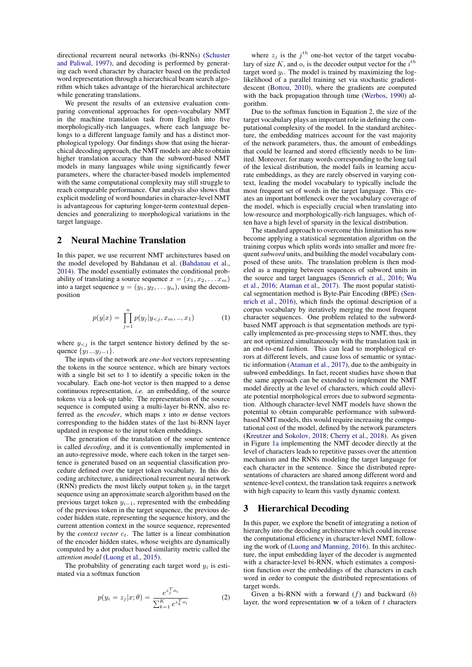directional recurrent neural networks (bi-RNNs) [\(Schuster](#page-6-4) [and Paliwal,](#page-6-4) [1997\)](#page-6-4), and decoding is performed by generating each word character by character based on the predicted word representation through a hierarchical beam search algorithm which takes advantage of the hierarchical architecture while generating translations.

We present the results of an extensive evaluation comparing conventional approaches for open-vocabulary NMT in the machine translation task from English into five morphologically-rich languages, where each language belongs to a different language family and has a distinct morphological typology. Our findings show that using the hierarchical decoding approach, the NMT models are able to obtain higher translation accuracy than the subword-based NMT models in many languages while using significantly fewer parameters, where the character-based models implemented with the same computational complexity may still struggle to reach comparable performance. Our analysis also shows that explicit modeling of word boundaries in character-level NMT is advantageous for capturing longer-term contextual dependencies and generalizing to morphological variations in the target language.

# 2 Neural Machine Translation

In this paper, we use recurrent NMT architectures based on the model developed by Bahdanau et al. [\(Bahdanau et al.,](#page-6-5) [2014\)](#page-6-5). The model essentially estimates the conditional probability of translating a source sequence  $x = (x_1, x_2, \ldots, x_m)$ into a target sequence  $y = (y_1, y_2, \dots y_n)$ , using the decomposition

$$
p(y|x) = \prod_{j=1}^{n} p(y_j|y_{\leq j}, x_m, ..., x_1)
$$
 (1)

where  $y_{\leq j}$  is the target sentence history defined by the sequence  $\{y_1...y_{j-1}\}.$ 

The inputs of the network are *one-hot* vectors representing the tokens in the source sentence, which are binary vectors with a single bit set to 1 to identify a specific token in the vocabulary. Each one-hot vector is then mapped to a dense continuous representation, *i.e.* an embedding, of the source tokens via a look-up table. The representation of the source sequence is computed using a multi-layer bi-RNN, also referred as the *encoder*, which maps *x* into *m* dense vectors corresponding to the hidden states of the last bi-RNN layer updated in response to the input token embeddings.

The generation of the translation of the source sentence is called *decoding*, and it is conventionally implemented in an auto-regressive mode, where each token in the target sentence is generated based on an sequential classification procedure defined over the target token vocabulary. In this decoding architecture, a unidirectional recurrent neural network (RNN) predicts the most likely output token  $y_i$  in the target sequence using an approximate search algorithm based on the previous target token  $y_{i-1}$ , represented with the embedding of the previous token in the target sequence, the previous decoder hidden state, representing the sequence history, and the current attention context in the source sequence, represented by the *context vector*  $c_t$ . The latter is a linear combination of the encoder hidden states, whose weights are dynamically computed by a dot product based similarity metric called the *attention model* [\(Luong et al.,](#page-6-6) [2015\)](#page-6-6).

<span id="page-1-0"></span>The probability of generating each target word  $y_i$  is estimated via a softmax function

$$
p(y_i = z_j | x; \theta) = \frac{e^{z_j^T o_i}}{\sum_{k=1}^K e^{z_k^T o_i}}
$$
 (2)

where  $z_j$  is the  $j^{th}$  one-hot vector of the target vocabulary of size  $K$ , and  $o_i$  is the decoder output vector for the  $i^{th}$ target word  $y_i$ . The model is trained by maximizing the loglikelihood of a parallel training set via stochastic gradientdescent [\(Bottou,](#page-6-7) [2010\)](#page-6-7), where the gradients are computed with the back propagation through time [\(Werbos,](#page-6-8) [1990\)](#page-6-8) algorithm.

Due to the softmax function in Equation [2,](#page-1-0) the size of the target vocabulary plays an important role in defining the computational complexity of the model. In the standard architecture, the embedding matrices account for the vast majority of the network parameters, thus, the amount of embeddings that could be learned and stored efficiently needs to be limited. Moreover, for many words corresponding to the long tail of the lexical distribution, the model fails in learning accurate embeddings, as they are rarely observed in varying context, leading the model vocabulary to typically include the most frequent set of words in the target language. This creates an important bottleneck over the vocabulary coverage of the model, which is especially crucial when translating into low-resource and morphologically-rich languages, which often have a high level of sparsity in the lexical distribution.

The standard approach to overcome this limitation has now become applying a statistical segmentation algorithm on the training corpus which splits words into smaller and more frequent*subword* units, and building the model vocabulary composed of these units. The translation problem is then modeled as a mapping between sequences of subword units in the source and target languages [\(Sennrich et al.,](#page-6-0) [2016;](#page-6-0) [Wu](#page-6-9) [et al.,](#page-6-9) [2016;](#page-6-9) [Ataman et al.,](#page-6-10) [2017\)](#page-6-10). The most popular statistical segmentation method is Byte-Pair Encoding (BPE) [\(Sen](#page-6-0)[nrich et al.,](#page-6-0) [2016\)](#page-6-0), which finds the optimal description of a corpus vocabulary by iteratively merging the most frequent character sequences. One problem related to the subwordbased NMT approach is that segmentation methods are typically implemented as pre-processing steps to NMT, thus, they are not optimized simultaneously with the translation task in an end-to-end fashion. This can lead to morphological errors at different levels, and cause loss of semantic or syntactic information [\(Ataman et al.,](#page-6-10) [2017\)](#page-6-10), due to the ambiguity in subword embeddings. In fact, recent studies have shown that the same approach can be extended to implement the NMT model directly at the level of characters, which could alleviate potential morphological errors due to subword segmentation. Although character-level NMT models have shown the potential to obtain comparable performance with subwordbased NMT models, this would require increasing the computational cost of the model, defined by the network parameters [\(Kreutzer and Sokolov,](#page-6-11) [2018;](#page-6-11) [Cherry et al.,](#page-6-1) [2018\)](#page-6-1). As given in Figure [1a](#page-2-0) implementing the NMT decoder directly at the level of characters leads to repetitive passes over the attention mechanism and the RNNs modeling the target language for each character in the sentence. Since the distributed representations of characters are shared among different word and sentence-level context, the translation task requires a network with high capacity to learn this vastly dynamic context.

## 3 Hierarchical Decoding

In this paper, we explore the benefit of integrating a notion of hierarchy into the decoding architecture which could increase the computational efficiency in character-level NMT, following the work of [\(Luong and Manning,](#page-6-2) [2016\)](#page-6-2). In this architecture, the input embedding layer of the decoder is augmented with a character-level bi-RNN, which estimates a composition function over the embeddings of the characters in each word in order to compute the distributed representations of target words.

Given a bi-RNN with a forward  $(f)$  and backward  $(b)$ layer, the word representation  $w$  of a token of  $t$  characters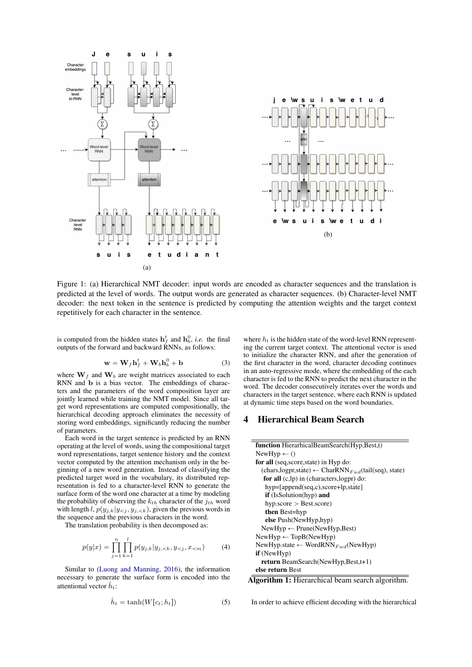<span id="page-2-0"></span>

Figure 1: (a) Hierarchical NMT decoder: input words are encoded as character sequences and the translation is predicted at the level of words. The output words are generated as character sequences. (b) Character-level NMT decoder: the next token in the sentence is predicted by computing the attention weights and the target context repetitively for each character in the sentence.

is computed from the hidden states  $\mathbf{h}_f^t$  and  $\mathbf{h}_b^0$ , *i.e.* the final outputs of the forward and backward RNNs, as follows:

$$
\mathbf{w} = \mathbf{W}_f \mathbf{h}_f^t + \mathbf{W}_b \mathbf{h}_b^0 + \mathbf{b}
$$
 (3)

where  $W_f$  and  $W_b$  are weight matrices associated to each RNN and b is a bias vector. The embeddings of characters and the parameters of the word composition layer are jointly learned while training the NMT model. Since all target word representations are computed compositionally, the hierarchical decoding approach eliminates the necessity of storing word embeddings, significantly reducing the number of parameters.

Each word in the target sentence is predicted by an RNN operating at the level of words, using the compositional target word representations, target sentence history and the context vector computed by the attention mechanism only in the beginning of a new word generation. Instead of classifying the predicted target word in the vocabulary, its distributed representation is fed to a character-level RNN to generate the surface form of the word one character at a time by modeling the probability of observing the  $k_{th}$  character of the  $j_{th}$  word with length l,  $p(y_{j,k}|y_{\le j}, y_{j,\le k})$ , given the previous words in the sequence and the previous characters in the word.

The translation probability is then decomposed as:

$$
p(y|x) = \prod_{j=1}^{n} \prod_{k=1}^{l} p(y_{j,k}|y_{j, (4)
$$

Similar to [\(Luong and Manning,](#page-6-2) [2016\)](#page-6-2), the information necessary to generate the surface form is encoded into the attentional vector  $\hat{h}_t$ :

$$
\hat{h}_t = \tanh(W[c_t; h_t]) \tag{5}
$$

where  $h_t$  is the hidden state of the word-level RNN representing the current target context. The attentional vector is used to initialize the character RNN, and after the generation of the first character in the word, character decoding continues in an auto-regressive mode, where the embedding of the each character is fed to the RNN to predict the next character in the word. The decoder consecutively iterates over the words and characters in the target sentence, where each RNN is updated at dynamic time steps based on the word boundaries.

## 4 Hierarchical Beam Search

| function HierarhicalBeamSearch(Hyp,Best,t)                                   |
|------------------------------------------------------------------------------|
| NewHyp $\leftarrow$ ()                                                       |
| for all (seq, score, state) in Hyp do:                                       |
| (chars, logpr, stâte) $\leftarrow$ CharRNN <sub>Fwd</sub> (tail(seq), state) |
| for all $(c,lp)$ in $(characters, logpr)$ do:                                |
| hyp=[append(seq,c),score+lp,state]                                           |
| <b>if</b> (IsSolution(hyp) and                                               |
| $hyp_score > Best_score)$                                                    |
| <b>then</b> Best=hyp                                                         |
| else Push(NewHyp,hyp)                                                        |
| $NewHyp \leftarrow Prune(NewHyp, Best)$                                      |
| $NewHyp \leftarrow TopB(NewHyp)$                                             |
| NewHyp.state $\leftarrow$ WordRNN $_{End}$ (NewHyp)                          |
| $if$ (NewHyp)                                                                |
| <b>return</b> BeamSearch(NewHyp,Best,t+1)                                    |
| else return Best                                                             |

Algorithm 1: Hierarchical beam search algorithm.

In order to achieve efficient decoding with the hierarchical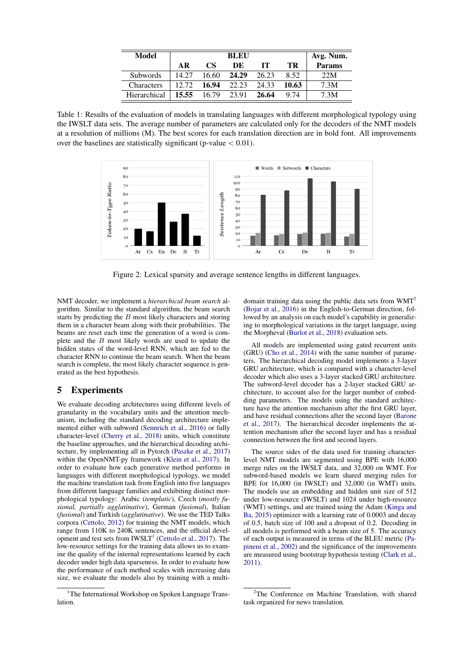<span id="page-3-2"></span>

| Model             |             |                 | <b>BLEU</b> |       |       | Avg. Num.     |
|-------------------|-------------|-----------------|-------------|-------|-------|---------------|
|                   | AR          | CS <sup>-</sup> | DE          | TТ    | TR    | <b>Params</b> |
| <b>Subwords</b>   | 14.27       | 16.60           | 24.29       | 26.23 | 8.52  | 22M           |
| <b>Characters</b> | 12.72       | 16.94           | 22.23       | 24.33 | 10.63 | 7.3M          |
| Hierarchical      | 15.55 16.79 |                 | 23.91       | 26.64 | 9.74  | 7.3M          |

Table 1: Results of the evaluation of models in translating languages with different morphological typology using the IWSLT data sets. The average number of parameters are calculated only for the decoders of the NMT models at a resolution of millions (M). The best scores for each translation direction are in bold font. All improvements over the baselines are statistically significant (p-value  $< 0.01$ ).

<span id="page-3-3"></span>

Figure 2: Lexical sparsity and average sentence lengths in different languages.

NMT decoder, we implement a *hierarchical beam search* algorithm. Similar to the standard algorithm, the beam search starts by predicting the B most likely characters and storing them in a character beam along with their probabilities. The beams are reset each time the generation of a word is complete and the B most likely words are used to update the hidden states of the word-level RNN, which are fed to the character RNN to continue the beam search. When the beam search is complete, the most likely character sequence is generated as the best hypothesis.

# 5 Experiments

We evaluate decoding architectures using different levels of granularity in the vocabulary units and the attention mechanism, including the standard decoding architecture implemented either with subword [\(Sennrich et al.,](#page-6-0) [2016\)](#page-6-0) or fully character-level [\(Cherry et al.,](#page-6-1) [2018\)](#page-6-1) units, which constitute the baseline approaches, and the hierarchical decoding architecture, by implementing all in Pytorch [\(Paszke et al.,](#page-6-12) [2017\)](#page-6-12) within the OpenNMT-py framework [\(Klein et al.,](#page-6-13) [2017\)](#page-6-13). In order to evaluate how each generative method performs in languages with different morphological typology, we model the machine translation task from English into five languages from different language families and exhibiting distinct morphological typology: Arabic (*templatic*), Czech (*mostly fusional, partially agglutinative*), German (*fusional*), Italian (*fusional*) and Turkish (*agglutinative*). We use the TED Talks corpora [\(Cettolo,](#page-6-14) [2012\)](#page-6-14) for training the NMT models, which range from 110K to 240K sentences, and the official development and test sets from  $IWSLT<sup>1</sup>$  $IWSLT<sup>1</sup>$  $IWSLT<sup>1</sup>$  [\(Cettolo et al.,](#page-6-15) [2017\)](#page-6-15). The low-resource settings for the training data allows us to examine the quality of the internal representations learned by each decoder under high data sparseness. In order to evaluate how the performance of each method scales with increasing data size, we evaluate the models also by training with a multidomain training data using the public data sets from WMT<sup>[2](#page-3-1)</sup> [\(Bojar et al.,](#page-6-16) [2016\)](#page-6-16) in the English-to-German direction, followed by an analysis on each model's capability in generalizing to morphological variations in the target language, using the Morpheval [\(Burlot et al.,](#page-6-17) [2018\)](#page-6-17) evaluation sets.

All models are implemented using gated recurrent units (GRU) [\(Cho et al.,](#page-6-18) [2014\)](#page-6-18) with the same number of parameters. The hierarchical decoding model implements a 3-layer GRU architecture, which is compared with a character-level decoder which also uses a 3-layer stacked GRU architecture. The subword-level decoder has a 2-layer stacked GRU architecture, to account also for the larger number of embedding parameters. The models using the standard architecture have the attention mechanism after the first GRU layer, and have residual connections after the second layer [\(Barone](#page-6-19) [et al.,](#page-6-19) [2017\)](#page-6-19). The hierarchical decoder implements the attention mechanism after the second layer and has a residual connection between the first and second layers.

The source sides of the data used for training characterlevel NMT models are segmented using BPE with 16,000 merge rules on the IWSLT data, and 32,000 on WMT. For subword-based models we learn shared merging rules for BPE for 16,000 (in IWSLT) and 32,000 (in WMT) units. The models use an embedding and hidden unit size of 512 under low-resource (IWSLT) and 1024 under high-resource (WMT) settings, and are trained using the Adam [\(Kinga and](#page-6-20) [Ba,](#page-6-20) [2015\)](#page-6-20) optimizer with a learning rate of 0.0003 and decay of 0.5, batch size of 100 and a dropout of 0.2. Decoding in all models is performed with a beam size of 5. The accuracy of each output is measured in terms of the BLEU metric [\(Pa](#page-6-21)[pineni et al.,](#page-6-21) [2002\)](#page-6-21) and the significance of the improvements are measured using bootstrap hypothesis testing [\(Clark et al.,](#page-6-22) [2011\)](#page-6-22).

<span id="page-3-0"></span><sup>&</sup>lt;sup>1</sup>The International Workshop on Spoken Language Translation.

<span id="page-3-1"></span> $2$ The Conference on Machine Translation, with shared task organized for news translation.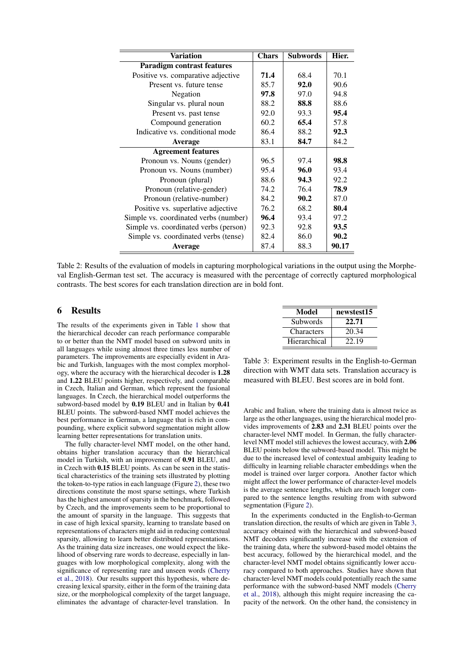<span id="page-4-1"></span>

| <b>Variation</b>                      | <b>Chars</b> | <b>Subwords</b> | Hier. |
|---------------------------------------|--------------|-----------------|-------|
| <b>Paradigm contrast features</b>     |              |                 |       |
| Positive vs. comparative adjective    | 71.4         | 68.4            | 70.1  |
| Present vs. future tense              | 85.7         | 92.0            | 90.6  |
| Negation                              | 97.8         | 97.0            | 94.8  |
| Singular vs. plural noun              | 88.2         | 88.8            | 88.6  |
| Present vs. past tense                | 92.0         | 93.3            | 95.4  |
| Compound generation                   | 60.2         | 65.4            | 57.8  |
| Indicative vs. conditional mode       | 86.4         | 88.2            | 92.3  |
| <b>Average</b>                        | 83.1         | 84.7            | 84.2  |
| <b>Agreement features</b>             |              |                 |       |
| Pronoun vs. Nouns (gender)            | 96.5         | 97.4            | 98.8  |
| Pronoun vs. Nouns (number)            | 95.4         | 96.0            | 93.4  |
| Pronoun (plural)                      | 88.6         | 94.3            | 92.2  |
| Pronoun (relative-gender)             | 74.2         | 76.4            | 78.9  |
| Pronoun (relative-number)             | 84.2         | 90.2            | 87.0  |
| Positive vs. superlative adjective    | 76.2         | 68.2            | 80.4  |
| Simple vs. coordinated verbs (number) | 96.4         | 93.4            | 97.2  |
| Simple vs. coordinated verbs (person) | 92.3         | 92.8            | 93.5  |
| Simple vs. coordinated verbs (tense)  | 82.4         | 86.0            | 90.2  |
| <b>Average</b>                        | 87.4         | 88.3            | 90.17 |

Table 2: Results of the evaluation of models in capturing morphological variations in the output using the Morpheval English-German test set. The accuracy is measured with the percentage of correctly captured morphological contrasts. The best scores for each translation direction are in bold font.

## 6 Results

The results of the experiments given in Table [1](#page-3-2) show that the hierarchical decoder can reach performance comparable to or better than the NMT model based on subword units in all languages while using almost three times less number of parameters. The improvements are especially evident in Arabic and Turkish, languages with the most complex morphology, where the accuracy with the hierarchical decoder is 1.28 and 1.22 BLEU points higher, respectively, and comparable in Czech, Italian and German, which represent the fusional languages. In Czech, the hierarchical model outperforms the subword-based model by 0.19 BLEU and in Italian by 0.41 BLEU points. The subword-based NMT model achieves the best performance in German, a language that is rich in compounding, where explicit subword segmentation might allow learning better representations for translation units.

The fully character-level NMT model, on the other hand, obtains higher translation accuracy than the hierarchical model in Turkish, with an improvement of 0.91 BLEU, and in Czech with 0.15 BLEU points. As can be seen in the statistical characteristics of the training sets illustrated by plotting the token-to-type ratios in each language (Figure [2\)](#page-3-3), these two directions constitute the most sparse settings, where Turkish has the highest amount of sparsity in the benchmark, followed by Czech, and the improvements seem to be proportional to the amount of sparsity in the language. This suggests that in case of high lexical sparsity, learning to translate based on representations of characters might aid in reducing contextual sparsity, allowing to learn better distributed representations. As the training data size increases, one would expect the likelihood of observing rare words to decrease, especially in languages with low morphological complexity, along with the significance of representing rare and unseen words [\(Cherry](#page-6-1) [et al.,](#page-6-1) [2018\)](#page-6-1). Our results support this hypothesis, where decreasing lexical sparsity, either in the form of the training data size, or the morphological complexity of the target language, eliminates the advantage of character-level translation. In

<span id="page-4-0"></span>

| Model        | newstest15 |
|--------------|------------|
| Subwords     | 22.71      |
| Characters   | 20.34      |
| Hierarchical | 22.19      |

Table 3: Experiment results in the English-to-German direction with WMT data sets. Translation accuracy is measured with BLEU. Best scores are in bold font.

Arabic and Italian, where the training data is almost twice as large as the other languages, using the hierarchical model provides improvements of 2.83 and 2.31 BLEU points over the character-level NMT model. In German, the fully characterlevel NMT model still achieves the lowest accuracy, with 2.06 BLEU points below the subword-based model. This might be due to the increased level of contextual ambiguity leading to difficulty in learning reliable character embeddings when the model is trained over larger corpora. Another factor which might affect the lower performance of character-level models is the average sentence lengths, which are much longer compared to the sentence lengths resulting from with subword segmentation (Figure [2\)](#page-3-3).

In the experiments conducted in the English-to-German translation direction, the results of which are given in Table [3,](#page-4-0) accuracy obtained with the hierarchical and subword-based NMT decoders significantly increase with the extension of the training data, where the subword-based model obtains the best accuracy, followed by the hierarchical model, and the character-level NMT model obtains significantly lower accuracy compared to both approaches. Studies have shown that character-level NMT models could potentially reach the same performance with the subword-based NMT models [\(Cherry](#page-6-1) [et al.,](#page-6-1) [2018\)](#page-6-1), although this might require increasing the capacity of the network. On the other hand, the consistency in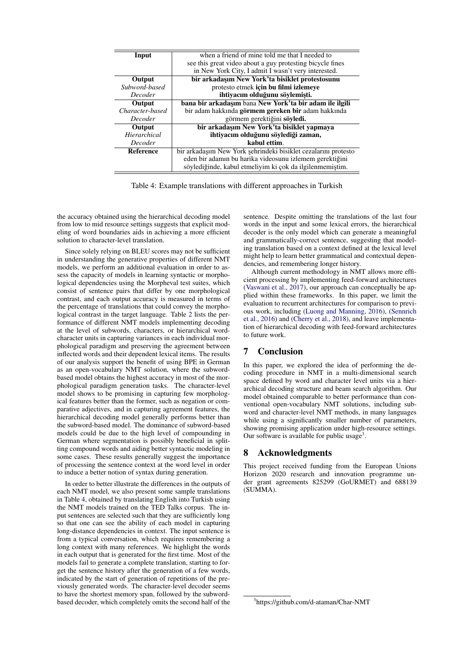<span id="page-5-0"></span>

| when a friend of mine told me that I needed to<br>Input<br>see this great video about a guy protesting bicycle fines<br>in New York City, I admit I wasn't very interested.<br>bir arkadaşım New York'ta bisiklet protestosunu<br>Output<br>protesto etmek için bu filmi izlemeye<br>Subword-based<br>ihtivacım olduğunu söylemişti.<br><b>Decoder</b><br>bana bir arkadasım bana New York'ta bir adam ile ilgili<br>Output |
|-----------------------------------------------------------------------------------------------------------------------------------------------------------------------------------------------------------------------------------------------------------------------------------------------------------------------------------------------------------------------------------------------------------------------------|
|                                                                                                                                                                                                                                                                                                                                                                                                                             |
|                                                                                                                                                                                                                                                                                                                                                                                                                             |
|                                                                                                                                                                                                                                                                                                                                                                                                                             |
|                                                                                                                                                                                                                                                                                                                                                                                                                             |
|                                                                                                                                                                                                                                                                                                                                                                                                                             |
|                                                                                                                                                                                                                                                                                                                                                                                                                             |
|                                                                                                                                                                                                                                                                                                                                                                                                                             |
| Character-based<br>bir adam hakkında görmem gereken bir adam hakkında                                                                                                                                                                                                                                                                                                                                                       |
| görmem gerektiğini söyledi.<br>Decoder                                                                                                                                                                                                                                                                                                                                                                                      |
| bir arkadaşım New York'ta bisiklet yapmaya<br>Output                                                                                                                                                                                                                                                                                                                                                                        |
| Hierarchical<br>ihtiyacım olduğunu söylediği zaman,                                                                                                                                                                                                                                                                                                                                                                         |
| kabul ettim.<br><b>Decoder</b>                                                                                                                                                                                                                                                                                                                                                                                              |
| bir arkadaşım New York şehrindeki bisiklet cezalarını protesto<br>Reference                                                                                                                                                                                                                                                                                                                                                 |
| eden bir adamın bu harika videosunu izlemem gerektiğini                                                                                                                                                                                                                                                                                                                                                                     |
| söylediğinde, kabul etmeliyim ki çok da ilgilenmemiştim.                                                                                                                                                                                                                                                                                                                                                                    |

Table 4: Example translations with different approaches in Turkish

the accuracy obtained using the hierarchical decoding model from low to mid resource settings suggests that explicit modeling of word boundaries aids in achieving a more efficient solution to character-level translation.

Since solely relying on BLEU scores may not be sufficient in understanding the generative properties of different NMT models, we perform an additional evaluation in order to assess the capacity of models in learning syntactic or morphological dependencies using the Morpheval test suites, which consist of sentence pairs that differ by one morphological contrast, and each output accuracy is measured in terms of the percentage of translations that could convey the morphological contrast in the target language. Table [2](#page-4-1) lists the performance of different NMT models implementing decoding at the level of subwords, characters, or hierarchical wordcharacter units in capturing variances in each individual morphological paradigm and preserving the agreement between inflected words and their dependent lexical items. The results of our analysis support the benefit of using BPE in German as an open-vocabulary NMT solution, where the subwordbased model obtains the highest accuracy in most of the morphological paradigm generation tasks. The character-level model shows to be promising in capturing few morphological features better than the former, such as negation or comparative adjectives, and in capturing agreement features, the hierarchical decoding model generally performs better than the subword-based model. The dominance of subword-based models could be due to the high level of compounding in German where segmentation is possibly beneficial in splitting compound words and aiding better syntactic modeling in some cases. These results generally suggest the importance of processing the sentence context at the word level in order to induce a better notion of syntax during generation.

In order to better illustrate the differences in the outputs of each NMT model, we also present some sample translations in Table [4,](#page-5-0) obtained by translating English into Turkish using the NMT models trained on the TED Talks corpus. The input sentences are selected such that they are sufficiently long so that one can see the ability of each model in capturing long-distance dependencies in context. The input sentence is from a typical conversation, which requires remembering a long context with many references. We highlight the words in each output that is generated for the first time. Most of the models fail to generate a complete translation, starting to forget the sentence history after the generation of a few words, indicated by the start of generation of repetitions of the previously generated words. The character-level decoder seems to have the shortest memory span, followed by the subwordbased decoder, which completely omits the second half of the sentence. Despite omitting the translations of the last four words in the input and some lexical errors, the hierarchical decoder is the only model which can generate a meaningful and grammatically-correct sentence, suggesting that modeling translation based on a context defined at the lexical level might help to learn better grammatical and contextual dependencies, and remembering longer history.

Although current methodology in NMT allows more efficient processing by implementing feed-forward architectures [\(Vaswani et al.,](#page-6-23) [2017\)](#page-6-23), our approach can conceptually be applied within these frameworks. In this paper, we limit the evaluation to recurrent architectures for comparison to previous work, including [\(Luong and Manning,](#page-6-2) [2016\)](#page-6-2), [\(Sennrich](#page-6-0) [et al.,](#page-6-0) [2016\)](#page-6-0) and [\(Cherry et al.,](#page-6-1) [2018\)](#page-6-1), and leave implementation of hierarchical decoding with feed-forward architectures to future work.

# 7 Conclusion

In this paper, we explored the idea of performing the decoding procedure in NMT in a multi-dimensional search space defined by word and character level units via a hierarchical decoding structure and beam search algorithm. Our model obtained comparable to better performance than conventional open-vocabulary NMT solutions, including subword and character-level NMT methods, in many languages while using a significantly smaller number of parameters, showing promising application under high-resource settings. Our software is available for public usage<sup>[3](#page-5-1)</sup>.

#### 8 Acknowledgments

This project received funding from the European Unions Horizon 2020 research and innovation programme under grant agreements 825299 (GoURMET) and 688139 (SUMMA).

<span id="page-5-1"></span><sup>3</sup> https://github.com/d-ataman/Char-NMT